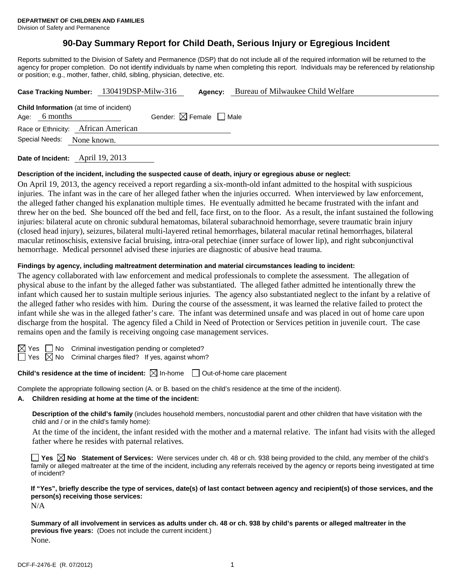# **90-Day Summary Report for Child Death, Serious Injury or Egregious Incident**

Reports submitted to the Division of Safety and Permanence (DSP) that do not include all of the required information will be returned to the agency for proper completion. Do not identify individuals by name when completing this report. Individuals may be referenced by relationship or position; e.g., mother, father, child, sibling, physician, detective, etc.

|                |                                                            | Case Tracking Number: 130419DSP-Milw-316 |                                        | Agency: | Bureau of Milwaukee Child Welfare |
|----------------|------------------------------------------------------------|------------------------------------------|----------------------------------------|---------|-----------------------------------|
| Age:           | <b>Child Information</b> (at time of incident)<br>6 months |                                          | Gender: $\boxtimes$ Female $\Box$ Male |         |                                   |
|                | Race or Ethnicity: African American                        |                                          |                                        |         |                                   |
| Special Needs: | None known.                                                |                                          |                                        |         |                                   |
|                |                                                            |                                          |                                        |         |                                   |

**Date of Incident:** April 19, 2013

## **Description of the incident, including the suspected cause of death, injury or egregious abuse or neglect:**

On April 19, 2013, the agency received a report regarding a six-month-old infant admitted to the hospital with suspicious injuries. The infant was in the care of her alleged father when the injuries occurred. When interviewed by law enforcement, the alleged father changed his explanation multiple times. He eventually admitted he became frustrated with the infant and threw her on the bed. She bounced off the bed and fell, face first, on to the floor. As a result, the infant sustained the following injuries: bilateral acute on chronic subdural hematomas, bilateral subarachnoid hemorrhage, severe traumatic brain injury (closed head injury), seizures, bilateral multi-layered retinal hemorrhages, bilateral macular retinal hemorrhages, bilateral macular retinoschisis, extensive facial bruising, intra-oral petechiae (inner surface of lower lip), and right subconjunctival hemorrhage. Medical personnel advised these injuries are diagnostic of abusive head trauma.

### **Findings by agency, including maltreatment determination and material circumstances leading to incident:**

The agency collaborated with law enforcement and medical professionals to complete the assessment. The allegation of physical abuse to the infant by the alleged father was substantiated. The alleged father admitted he intentionally threw the infant which caused her to sustain multiple serious injuries. The agency also substantiated neglect to the infant by a relative of the alleged father who resides with him. During the course of the assessment, it was learned the relative failed to protect the infant while she was in the alleged father's care. The infant was determined unsafe and was placed in out of home care upon discharge from the hospital. The agency filed a Child in Need of Protection or Services petition in juvenile court. The case remains open and the family is receiving ongoing case management services.



 $\boxtimes$  Yes  $\Box$  No Criminal investigation pending or completed?  $\Box$  Yes  $\boxtimes$  No Criminal charges filed? If yes, against whom?

**Child's residence at the time of incident:**  $\boxtimes$  In-home  $\Box$  Out-of-home care placement

Complete the appropriate following section (A. or B. based on the child's residence at the time of the incident).

# **A. Children residing at home at the time of the incident:**

**Description of the child's family** (includes household members, noncustodial parent and other children that have visitation with the child and / or in the child's family home):

 At the time of the incident, the infant resided with the mother and a maternal relative. The infant had visits with the alleged father where he resides with paternal relatives.

**Yes No Statement of Services:** Were services under ch. 48 or ch. 938 being provided to the child, any member of the child's family or alleged maltreater at the time of the incident, including any referrals received by the agency or reports being investigated at time of incident?

# **If "Yes", briefly describe the type of services, date(s) of last contact between agency and recipient(s) of those services, and the person(s) receiving those services:**

N/A

**Summary of all involvement in services as adults under ch. 48 or ch. 938 by child's parents or alleged maltreater in the previous five years:** (Does not include the current incident.) None.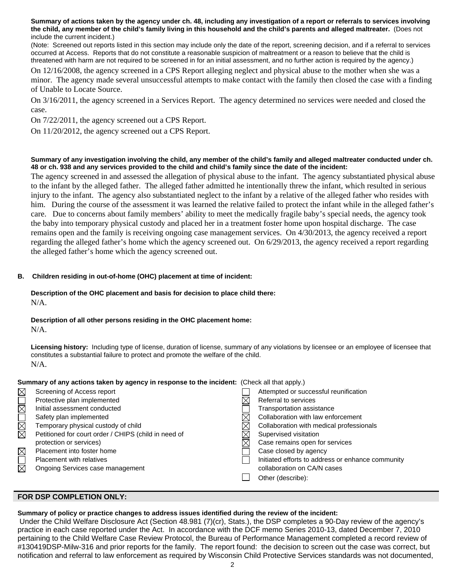**Summary of actions taken by the agency under ch. 48, including any investigation of a report or referrals to services involving the child, any member of the child's family living in this household and the child's parents and alleged maltreater.** (Does not include the current incident.)

(Note: Screened out reports listed in this section may include only the date of the report, screening decision, and if a referral to services occurred at Access. Reports that do not constitute a reasonable suspicion of maltreatment or a reason to believe that the child is threatened with harm are not required to be screened in for an initial assessment, and no further action is required by the agency.)

On 12/16/2008, the agency screened in a CPS Report alleging neglect and physical abuse to the mother when she was a minor. The agency made several unsuccessful attempts to make contact with the family then closed the case with a finding of Unable to Locate Source.

On 3/16/2011, the agency screened in a Services Report. The agency determined no services were needed and closed the case.

On 7/22/2011, the agency screened out a CPS Report.

On 11/20/2012, the agency screened out a CPS Report.

#### **Summary of any investigation involving the child, any member of the child's family and alleged maltreater conducted under ch. 48 or ch. 938 and any services provided to the child and child's family since the date of the incident:**

The agency screened in and assessed the allegation of physical abuse to the infant. The agency substantiated physical abuse to the infant by the alleged father. The alleged father admitted he intentionally threw the infant, which resulted in serious injury to the infant. The agency also substantiated neglect to the infant by a relative of the alleged father who resides with him. During the course of the assessment it was learned the relative failed to protect the infant while in the alleged father's care. Due to concerns about family members' ability to meet the medically fragile baby's special needs, the agency took the baby into temporary physical custody and placed her in a treatment foster home upon hospital discharge. The case remains open and the family is receiving ongoing case management services. On 4/30/2013, the agency received a report regarding the alleged father's home which the agency screened out. On 6/29/2013, the agency received a report regarding the alleged father's home which the agency screened out.

# **B. Children residing in out-of-home (OHC) placement at time of incident:**

# **Description of the OHC placement and basis for decision to place child there:**

N/A.

## **Description of all other persons residing in the OHC placement home:**

N/A.

**Licensing history:** Including type of license, duration of license, summary of any violations by licensee or an employee of licensee that constitutes a substantial failure to protect and promote the welfare of the child. N/A.

# **Summary of any actions taken by agency in response to the incident:** (Check all that apply.)

| $\times$               | Screening of Access report                           | Attempted or successful reunification             |
|------------------------|------------------------------------------------------|---------------------------------------------------|
|                        | Protective plan implemented                          | Referral to services                              |
| $\boxtimes \square$    | Initial assessment conducted                         | Transportation assistance                         |
|                        | Safety plan implemented                              | Collaboration with law enforcement                |
|                        | Temporary physical custody of child                  | Collaboration with medical professionals          |
| K<br>E                 | Petitioned for court order / CHIPS (child in need of | Supervised visitation                             |
|                        | protection or services)                              | Case remains open for services                    |
| $\boxtimes$            | Placement into foster home                           | Case closed by agency                             |
| $\overline{\boxtimes}$ | <b>Placement with relatives</b>                      | Initiated efforts to address or enhance community |
|                        | Ongoing Services case management                     | collaboration on CA/N cases                       |
|                        |                                                      | Other (describe):                                 |
|                        |                                                      |                                                   |

# **FOR DSP COMPLETION ONLY:**

## **Summary of policy or practice changes to address issues identified during the review of the incident:**

 Under the Child Welfare Disclosure Act (Section 48.981 (7)(cr), Stats.), the DSP completes a 90-Day review of the agency's practice in each case reported under the Act. In accordance with the DCF memo Series 2010-13, dated December 7, 2010 pertaining to the Child Welfare Case Review Protocol, the Bureau of Performance Management completed a record review of #130419DSP-Milw-316 and prior reports for the family. The report found: the decision to screen out the case was correct, but notification and referral to law enforcement as required by Wisconsin Child Protective Services standards was not documented,